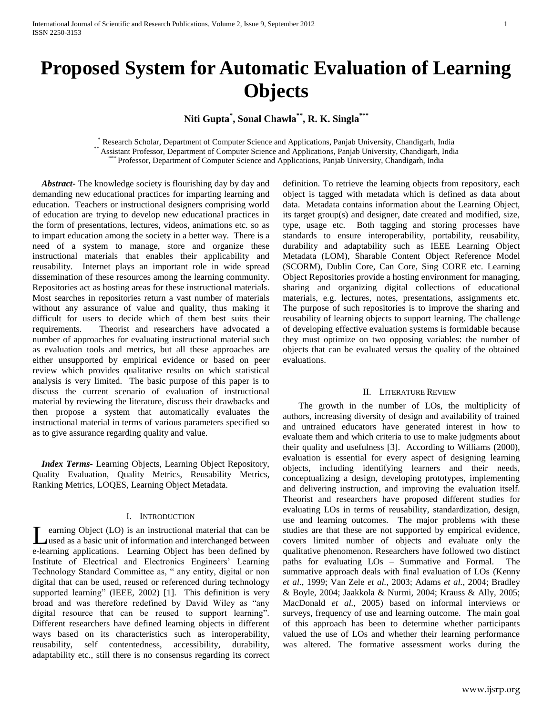# **Proposed System for Automatic Evaluation of Learning Objects**

**Niti Gupta\* , Sonal Chawla\*\*, R. K. Singla\*\*\***

\* Research Scholar, Department of Computer Science and Applications, Panjab University, Chandigarh, India \*\* Assistant Professor, Department of Computer Science and Applications, Panjab University, Chandigarh, India \*\*\* Professor, Department of Computer Science and Applications, Panjab University, Chandigarh, India

 *Abstract***-** The knowledge society is flourishing day by day and demanding new educational practices for imparting learning and education. Teachers or instructional designers comprising world of education are trying to develop new educational practices in the form of presentations, lectures, videos, animations etc. so as to impart education among the society in a better way. There is a need of a system to manage, store and organize these instructional materials that enables their applicability and reusability. Internet plays an important role in wide spread dissemination of these resources among the learning community. Repositories act as hosting areas for these instructional materials. Most searches in repositories return a vast number of materials without any assurance of value and quality, thus making it difficult for users to decide which of them best suits their requirements. Theorist and researchers have advocated a number of approaches for evaluating instructional material such as evaluation tools and metrics, but all these approaches are either unsupported by empirical evidence or based on peer review which provides qualitative results on which statistical analysis is very limited. The basic purpose of this paper is to discuss the current scenario of evaluation of instructional material by reviewing the literature, discuss their drawbacks and then propose a system that automatically evaluates the instructional material in terms of various parameters specified so as to give assurance regarding quality and value.

 *Index Terms*- Learning Objects, Learning Object Repository, Quality Evaluation, Quality Metrics, Reusability Metrics, Ranking Metrics, LOQES, Learning Object Metadata.

# I. INTRODUCTION

earning Object (LO) is an instructional material that can be used as a basic unit of information and interchanged between Learning Object (LO) is an instructional material that can be<br>
used as a basic unit of information and interchanged between<br>
e-learning applications. Learning Object has been defined by Institute of Electrical and Electronics Engineers' Learning Technology Standard Committee as, " any entity, digital or non digital that can be used, reused or referenced during technology supported learning" (IEEE, 2002) [1]. This definition is very broad and was therefore redefined by David Wiley as "any digital resource that can be reused to support learning". Different researchers have defined learning objects in different ways based on its characteristics such as interoperability, reusability, self contentedness, accessibility, durability, adaptability etc., still there is no consensus regarding its correct

definition. To retrieve the learning objects from repository, each object is tagged with metadata which is defined as data about data. Metadata contains information about the Learning Object, its target group(s) and designer, date created and modified, size, type, usage etc. Both tagging and storing processes have standards to ensure interoperability, portability, reusability, durability and adaptability such as IEEE Learning Object Metadata (LOM), Sharable Content Object Reference Model (SCORM), Dublin Core, Can Core, Sing CORE etc. Learning Object Repositories provide a hosting environment for managing, sharing and organizing digital collections of educational materials, e.g. lectures, notes, presentations, assignments etc. The purpose of such repositories is to improve the sharing and reusability of learning objects to support learning. The challenge of developing effective evaluation systems is formidable because they must optimize on two opposing variables: the number of objects that can be evaluated versus the quality of the obtained evaluations.

# II. LITERATURE REVIEW

 The growth in the number of LOs, the multiplicity of authors, increasing diversity of design and availability of trained and untrained educators have generated interest in how to evaluate them and which criteria to use to make judgments about their quality and usefulness [3]. According to Williams (2000), evaluation is essential for every aspect of designing learning objects, including identifying learners and their needs, conceptualizing a design, developing prototypes, implementing and delivering instruction, and improving the evaluation itself. Theorist and researchers have proposed different studies for evaluating LOs in terms of reusability, standardization, design, use and learning outcomes. The major problems with these studies are that these are not supported by empirical evidence, covers limited number of objects and evaluate only the qualitative phenomenon. Researchers have followed two distinct paths for evaluating LOs – Summative and Formal. The summative approach deals with final evaluation of LOs (Kenny *et al.*, 1999; Van Zele *et al.*, 2003; Adams *et al.*, 2004; Bradley & Boyle, 2004; Jaakkola & Nurmi, 2004; Krauss & Ally, 2005; MacDonald *et al.*, 2005) based on informal interviews or surveys, frequency of use and learning outcome. The main goal of this approach has been to determine whether participants valued the use of LOs and whether their learning performance was altered. The formative assessment works during the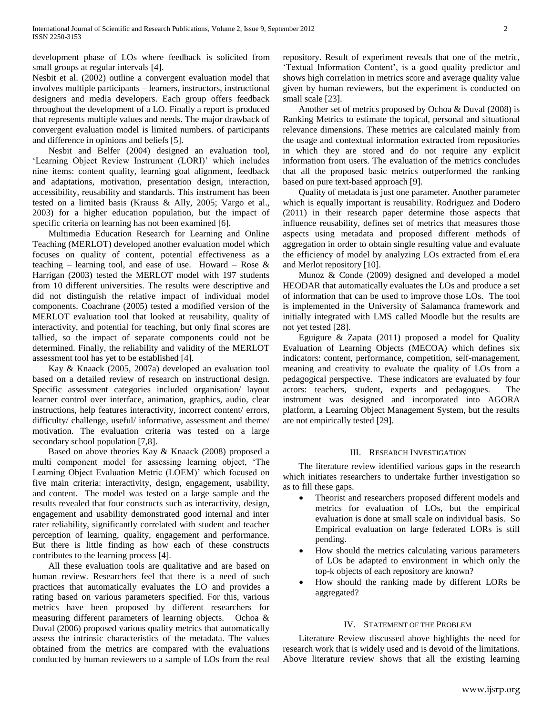development phase of LOs where feedback is solicited from small groups at regular intervals [4].

Nesbit et al. (2002) outline a convergent evaluation model that involves multiple participants – learners, instructors, instructional designers and media developers. Each group offers feedback throughout the development of a LO. Finally a report is produced that represents multiple values and needs. The major drawback of convergent evaluation model is limited numbers. of participants and difference in opinions and beliefs [5].

 Nesbit and Belfer (2004) designed an evaluation tool, 'Learning Object Review Instrument (LORI)' which includes nine items: content quality, learning goal alignment, feedback and adaptations, motivation, presentation design, interaction, accessibility, reusability and standards. This instrument has been tested on a limited basis (Krauss & Ally, 2005; Vargo et al., 2003) for a higher education population, but the impact of specific criteria on learning has not been examined [6].

 Multimedia Education Research for Learning and Online Teaching (MERLOT) developed another evaluation model which focuses on quality of content, potential effectiveness as a teaching – learning tool, and ease of use. Howard – Rose  $\&$ Harrigan (2003) tested the MERLOT model with 197 students from 10 different universities. The results were descriptive and did not distinguish the relative impact of individual model components. Coachrane (2005) tested a modified version of the MERLOT evaluation tool that looked at reusability, quality of interactivity, and potential for teaching, but only final scores are tallied, so the impact of separate components could not be determined. Finally, the reliability and validity of the MERLOT assessment tool has yet to be established [4].

 Kay & Knaack (2005, 2007a) developed an evaluation tool based on a detailed review of research on instructional design. Specific assessment categories included organisation/ layout learner control over interface, animation, graphics, audio, clear instructions, help features interactivity, incorrect content/ errors, difficulty/ challenge, useful/ informative, assessment and theme/ motivation. The evaluation criteria was tested on a large secondary school population [7,8].

 Based on above theories Kay & Knaack (2008) proposed a multi component model for assessing learning object, "The Learning Object Evaluation Metric (LOEM)' which focused on five main criteria: interactivity, design, engagement, usability, and content. The model was tested on a large sample and the results revealed that four constructs such as interactivity, design, engagement and usability demonstrated good internal and inter rater reliability, significantly correlated with student and teacher perception of learning, quality, engagement and performance. But there is little finding as how each of these constructs contributes to the learning process [4].

 All these evaluation tools are qualitative and are based on human review. Researchers feel that there is a need of such practices that automatically evaluates the LO and provides a rating based on various parameters specified. For this, various metrics have been proposed by different researchers for measuring different parameters of learning objects. Ochoa & Duval (2006) proposed various quality metrics that automatically assess the intrinsic characteristics of the metadata. The values obtained from the metrics are compared with the evaluations conducted by human reviewers to a sample of LOs from the real

repository. Result of experiment reveals that one of the metric, 'Textual Information Content', is a good quality predictor and shows high correlation in metrics score and average quality value given by human reviewers, but the experiment is conducted on small scale [23].

 Another set of metrics proposed by Ochoa & Duval (2008) is Ranking Metrics to estimate the topical, personal and situational relevance dimensions. These metrics are calculated mainly from the usage and contextual information extracted from repositories in which they are stored and do not require any explicit information from users. The evaluation of the metrics concludes that all the proposed basic metrics outperformed the ranking based on pure text-based approach [9].

 Quality of metadata is just one parameter. Another parameter which is equally important is reusability. Rodriguez and Dodero (2011) in their research paper determine those aspects that influence reusability, defines set of metrics that measures those aspects using metadata and proposed different methods of aggregation in order to obtain single resulting value and evaluate the efficiency of model by analyzing LOs extracted from eLera and Merlot repository [10].

 Munoz & Conde (2009) designed and developed a model HEODAR that automatically evaluates the LOs and produce a set of information that can be used to improve those LOs. The tool is implemented in the University of Salamanca framework and initially integrated with LMS called Moodle but the results are not yet tested [28].

 Eguigure & Zapata (2011) proposed a model for Quality Evaluation of Learning Objects (MECOA) which defines six indicators: content, performance, competition, self-management, meaning and creativity to evaluate the quality of LOs from a pedagogical perspective. These indicators are evaluated by four actors: teachers, student, experts and pedagogues. The instrument was designed and incorporated into AGORA platform, a Learning Object Management System, but the results are not empirically tested [29].

# III. RESEARCH INVESTIGATION

 The literature review identified various gaps in the research which initiates researchers to undertake further investigation so as to fill these gaps.

- Theorist and researchers proposed different models and metrics for evaluation of LOs, but the empirical evaluation is done at small scale on individual basis. So Empirical evaluation on large federated LORs is still pending.
- How should the metrics calculating various parameters of LOs be adapted to environment in which only the top-k objects of each repository are known?
- How should the ranking made by different LORs be aggregated?

# IV. STATEMENT OF THE PROBLEM

 Literature Review discussed above highlights the need for research work that is widely used and is devoid of the limitations. Above literature review shows that all the existing learning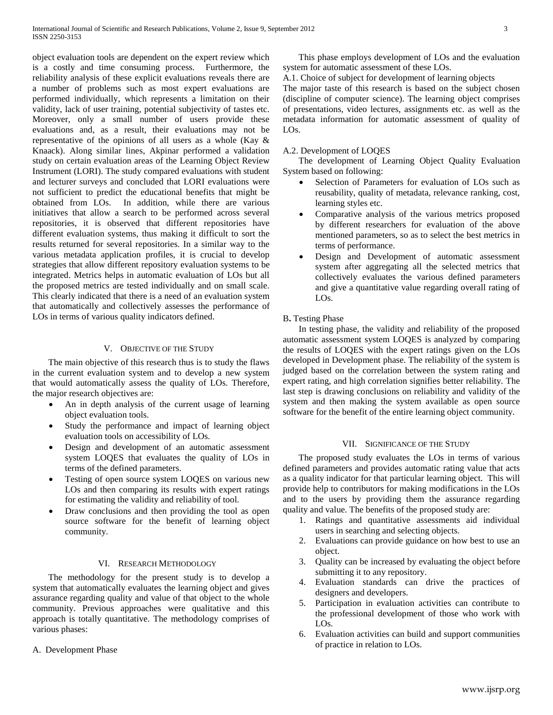object evaluation tools are dependent on the expert review which is a costly and time consuming process. Furthermore, the reliability analysis of these explicit evaluations reveals there are a number of problems such as most expert evaluations are performed individually, which represents a limitation on their validity, lack of user training, potential subjectivity of tastes etc. Moreover, only a small number of users provide these evaluations and, as a result, their evaluations may not be representative of the opinions of all users as a whole (Kay & Knaack). Along similar lines, Akpinar performed a validation study on certain evaluation areas of the Learning Object Review Instrument (LORI). The study compared evaluations with student and lecturer surveys and concluded that LORI evaluations were not sufficient to predict the educational benefits that might be obtained from LOs. In addition, while there are various initiatives that allow a search to be performed across several repositories, it is observed that different repositories have different evaluation systems, thus making it difficult to sort the results returned for several repositories. In a similar way to the various metadata application profiles, it is crucial to develop strategies that allow different repository evaluation systems to be integrated. Metrics helps in automatic evaluation of LOs but all the proposed metrics are tested individually and on small scale. This clearly indicated that there is a need of an evaluation system that automatically and collectively assesses the performance of LOs in terms of various quality indicators defined.

# V. OBJECTIVE OF THE STUDY

 The main objective of this research thus is to study the flaws in the current evaluation system and to develop a new system that would automatically assess the quality of LOs. Therefore, the major research objectives are:

- An in depth analysis of the current usage of learning object evaluation tools.
- Study the performance and impact of learning object evaluation tools on accessibility of LOs.
- Design and development of an automatic assessment system LOQES that evaluates the quality of LOs in terms of the defined parameters.
- Testing of open source system LOQES on various new LOs and then comparing its results with expert ratings for estimating the validity and reliability of tool.
- Draw conclusions and then providing the tool as open source software for the benefit of learning object community.

## VI. RESEARCH METHODOLOGY

 The methodology for the present study is to develop a system that automatically evaluates the learning object and gives assurance regarding quality and value of that object to the whole community. Previous approaches were qualitative and this approach is totally quantitative. The methodology comprises of various phases:

A. Development Phase

 This phase employs development of LOs and the evaluation system for automatic assessment of these LOs.

A.1. Choice of subject for development of learning objects

The major taste of this research is based on the subject chosen (discipline of computer science). The learning object comprises of presentations, video lectures, assignments etc. as well as the metadata information for automatic assessment of quality of LOs.

## A.2. Development of LOQES

 The development of Learning Object Quality Evaluation System based on following:

- Selection of Parameters for evaluation of LOs such as reusability, quality of metadata, relevance ranking, cost, learning styles etc.
- Comparative analysis of the various metrics proposed by different researchers for evaluation of the above mentioned parameters, so as to select the best metrics in terms of performance.
- Design and Development of automatic assessment system after aggregating all the selected metrics that collectively evaluates the various defined parameters and give a quantitative value regarding overall rating of LOs.

# B**.** Testing Phase

 In testing phase, the validity and reliability of the proposed automatic assessment system LOQES is analyzed by comparing the results of LOQES with the expert ratings given on the LOs developed in Development phase. The reliability of the system is judged based on the correlation between the system rating and expert rating, and high correlation signifies better reliability. The last step is drawing conclusions on reliability and validity of the system and then making the system available as open source software for the benefit of the entire learning object community.

### VII. SIGNIFICANCE OF THE STUDY

 The proposed study evaluates the LOs in terms of various defined parameters and provides automatic rating value that acts as a quality indicator for that particular learning object. This will provide help to contributors for making modifications in the LOs and to the users by providing them the assurance regarding quality and value. The benefits of the proposed study are:

- 1. Ratings and quantitative assessments aid individual users in searching and selecting objects.
- 2. Evaluations can provide guidance on how best to use an object.
- 3. Quality can be increased by evaluating the object before submitting it to any repository.
- 4. Evaluation standards can drive the practices of designers and developers.
- 5. Participation in evaluation activities can contribute to the professional development of those who work with LOs.
- 6. Evaluation activities can build and support communities of practice in relation to LOs.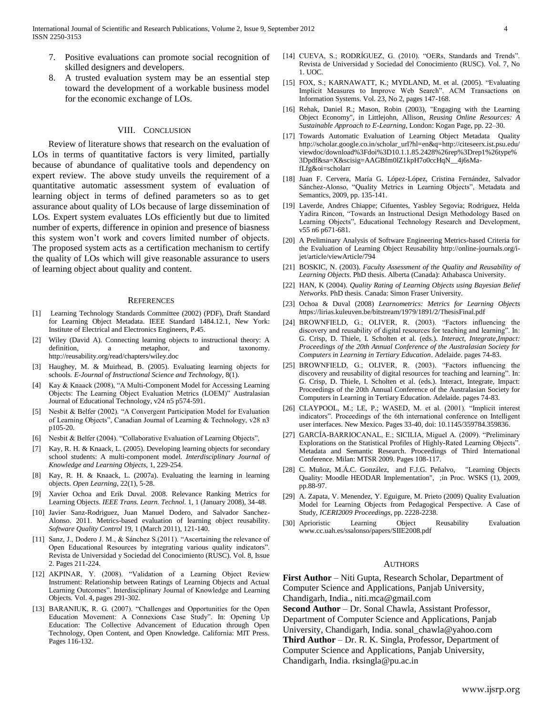- 7. Positive evaluations can promote social recognition of skilled designers and developers.
- 8. A trusted evaluation system may be an essential step toward the development of a workable business model for the economic exchange of LOs.

#### VIII. CONCLUSION

 Review of literature shows that research on the evaluation of LOs in terms of quantitative factors is very limited, partially because of abundance of qualitative tools and dependency on expert review. The above study unveils the requirement of a quantitative automatic assessment system of evaluation of learning object in terms of defined parameters so as to get assurance about quality of LOs because of large dissemination of LOs. Expert system evaluates LOs efficiently but due to limited number of experts, difference in opinion and presence of biasness this system won"t work and covers limited number of objects. The proposed system acts as a certification mechanism to certify the quality of LOs which will give reasonable assurance to users of learning object about quality and content.

#### **REFERENCES**

- [1] Learning Technology Standards Committee (2002) (PDF), Draft Standard for Learning Object Metadata. IEEE Standard 1484.12.1, New York: Institute of Electrical and Electronics Engineers, P.45.
- [2] Wiley (David A). Connecting learning objects to instructional theory: A definition, a metaphor, and taxonomy. http://reusability.org/read/chapters/wiley.doc
- [3] Haughey, M. & Muirhead, B. (2005). Evaluating learning objects for schools. *E-Journal of Instructional Science and Technology,* 8(1).
- [4] Kay & Knaack (2008), "A Multi-Component Model for Accessing Learning Objects: The Learning Object Evaluation Metrics (LOEM)" Australasian Journal of Educational Technology, v24 n5 p574-591.
- [5] Nesbit & Belfer (2002). "A Convergent Participation Model for Evaluation of Learning Objects", Canadian Journal of Learning & Technology, v28 n3 p105-20.
- [6] Nesbit & Belfer (2004). "Collaborative Evaluation of Learning Objects",
- [7] Kay, R. H. & Knaack, L. (2005). Developing learning objects for secondary school students: A multi-component model. *Interdisciplinary Journal of Knowledge and Learning Objects,* 1, 229-254.
- [8] Kay, R. H. & Knaack, L. (2007a). Evaluating the learning in learning objects. *Open Learning*, 22(1), 5-28.
- [9] Xavier Ochoa and Erik Duval. 2008. Relevance Ranking Metrics for Learning Objects. *IEEE Trans. Learn. Technol.* 1, 1 (January 2008), 34-48.
- [10] Javier Sanz-Rodriguez, Juan Manuel Dodero, and Salvador Sanchez-Alonso. 2011. Metrics-based evaluation of learning object reusability. *Software Quality Control* 19, 1 (March 2011), 121-140.
- [11] Sanz, J., Dodero J. M., & Sánchez S.(2011). "Ascertaining the relevance of Open Educational Resources by integrating various quality indicators". Revista de Universidad y Sociedad del Conocimiento (RUSC). Vol. 8, Issue 2. Pages 211-224.
- [12] AKPINAR, Y. (2008). "Validation of a Learning Object Review Instrument: Relationship between Ratings of Learning Objects and Actual Learning Outcomes". Interdisciplinary Journal of Knowledge and Learning Objects. Vol. 4, pages 291-302.
- [13] BARANIUK, R. G. (2007). "Challenges and Opportunities for the Open Education Movement: A Connexions Case Study". In: Opening Up Education: The Collective Advancement of Education through Open Technology, Open Content, and Open Knowledge. California: MIT Press. Pages 116-132.
- [14] CUEVA, S.; RODRÍGUEZ, G. (2010). "OERs, Standards and Trends". Revista de Universidad y Sociedad del Conocimiento (RUSC). Vol. 7, No 1. UOC.
- [15] FOX, S.; KARNAWATT, K.; MYDLAND, M. et al. (2005). "Evaluating Implicit Measures to Improve Web Search". ACM Transactions on Information Systems. Vol. 23, No 2, pages 147-168.
- [16] Rehak, Daniel R.; Mason, Robin (2003), "Engaging with the Learning Object Economy", in Littlejohn, Allison, *Reusing Online Resources: A Sustainable Approach to E-Learning*, London: Kogan Page, pp. 22–30.
- [17] Towards Automatic Evaluation of Learning Object Metadata Quality http://scholar.google.co.in/scholar\_url?hl=en&q=http://citeseerx.ist.psu.edu/ viewdoc/download%3Fdoi%3D10.1.1.85.2428%26rep%3Drep1%26type% 3Dpdf&sa=X&scisig=AAGBfm0lZ1kpH7o0ccHqN\_\_4j6sMafLfg&oi=scholarr
- [18] Juan F. Cervera, María G. López-López, Cristina Fernández, Salvador Sánchez-Alonso, "Quality Metrics in Learning Objects", Metadata and Semantics, 2009, pp. 135-141.
- [19] Laverde, Andres Chiappe; Cifuentes, Yasbley Segovia; Rodriguez, Helda Yadira Rincon, "Towards an Instructional Design Methodology Based on Learning Objects", Educational Technology Research and Development, v55 n6 p671-681.
- [20] A Preliminary Analysis of Software Engineering Metrics-based Criteria for the Evaluation of Learning Object Reusability http://online-journals.org/ijet/article/viewArticle/794
- [21] BOSKIC, N. (2003). *Faculty Assessment of the Quality and Reusability of Learning Objects*. PhD thesis. Alberta (Canada): Athabasca University.
- [22] HAN, K (2004). *Quality Rating of Learning Objects using Bayesian Belief Networks*. PhD thesis. Canada: Simon Fraser University.
- [23] Ochoa & Duval (2008) *Learnometrics: Metrics for Learning Objects h*ttps://lirias.kuleuven.be/bitstream/1979/1891/2/ThesisFinal.pdf
- [24] BROWNFIELD, G.; OLIVER, R. (2003). "Factors influencing the discovery and reusability of digital resources for teaching and learning". In: G. Crisp, D. Thiele, I. Scholten et al. (eds.). *Interact, Integrate,Impact: Proceedings of the 20th Annual Conference of the Australasian Society for Computers in Learning in Tertiary Education*. Adelaide. pages 74-83.
- [25] BROWNFIELD, G.; OLIVER, R. (2003). "Factors influencing the discovery and reusability of digital resources for teaching and learning". In: G. Crisp, D. Thiele, I. Scholten et al. (eds.). Interact, Integrate, Impact: Proceedings of the 20th Annual Conference of the Australasian Society for Computers in Learning in Tertiary Education. Adelaide. pages 74-83.
- [26] CLAYPOOL, M.; LE, P.; WASED, M. et al. (2001). "Implicit interest indicators". Proceedings of the 6th international conference on Intelligent user interfaces. New Mexico. Pages 33-40, doi: 10.1145/359784.359836.
- [27] GARCÍA-BARRIOCANAL, E.; SICILIA, Miguel A. (2009). "Preliminary Explorations on the Statistical Profiles of Highly-Rated Learning Objects". Metadata and Semantic Research. Proceedings of Third International Conference. Milan: MTSR 2009. Pages 108-117.
- [28] C. Muñoz, M.Á.C. González, and F.J.G. Peñalvo, "Learning Objects Quality: Moodle HEODAR Implementation", ;in Proc. WSKS (1), 2009, pp.88-97.
- [29] A. Zapata, V. Menendez, Y. Eguigure, M. Prieto (2009) Quality Evaluation Model for Learning Objects from Pedagogical Perspective. A Case of Study, *ICERI2009 Proceedings*, pp. 2228-2238.
- [30] Aprioristic Learning Object Reusability Evaluation www.cc.uah.es/ssalonso/papers/SIIE2008.pdf

#### AUTHORS

**First Author** – Niti Gupta, Research Scholar, Department of Computer Science and Applications, Panjab University, Chandigarh, India., niti.mca@gmail.com **Second Author** – Dr. Sonal Chawla, Assistant Professor,

Department of Computer Science and Applications, Panjab University, Chandigarh, India. sonal\_chawla@yahoo.com **Third Author** – Dr. R. K. Singla, Professor, Department of Computer Science and Applications, Panjab University, Chandigarh, India. rksingla@pu.ac.in